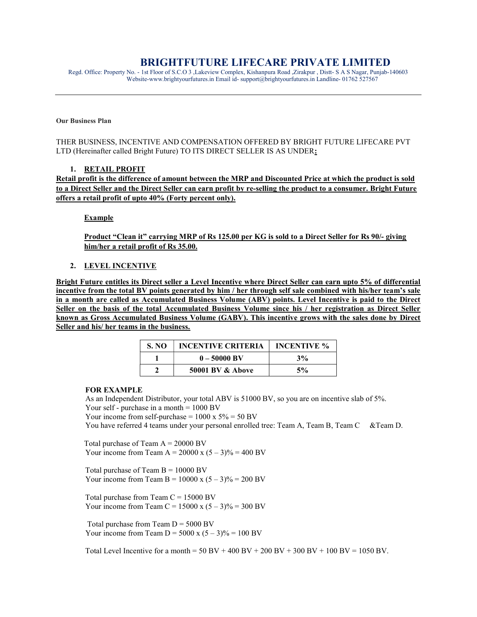# BRIGHTFUTURE LIFECARE PRIVATE LIMITED

Regd. Office: Property No. - 1st Floor of S.C.O 3 ,Lakeview Complex, Kishanpura Road ,Zirakpur , Distt- S A S Nagar, Punjab-140603 Website-www.brightyourfutures.in Email id- support@brightyourfutures.in Landline- 01762 527567

#### Our Business Plan

THER BUSINESS, INCENTIVE AND COMPENSATION OFFERED BY BRIGHT FUTURE LIFECARE PVT LTD (Hereinafter called Bright Future) TO ITS DIRECT SELLER IS AS UNDER:

#### 1. RETAIL PROFIT

Retail profit is the difference of amount between the MRP and Discounted Price at which the product is sold to a Direct Seller and the Direct Seller can earn profit by re-selling the product to a consumer. Bright Future offers a retail profit of upto 40% (Forty percent only).

Example

Product "Clean it" carrying MRP of Rs 125.00 per KG is sold to a Direct Seller for Rs 90/- giving him/her a retail profit of Rs 35.00.

#### 2. LEVEL INCENTIVE

Bright Future entitles its Direct seller a Level Incentive where Direct Seller can earn upto 5% of differential incentive from the total BV points generated by him / her through self sale combined with his/her team's sale in a month are called as Accumulated Business Volume (ABV) points. Level Incentive is paid to the Direct Seller on the basis of the total Accumulated Business Volume since his / her registration as Direct Seller known as Gross Accumulated Business Volume (GABV). This incentive grows with the sales done by Direct Seller and his/ her teams in the business.

| S. NO | <b>INCENTIVE CRITERIA</b>   | <b>INCENTIVE %</b> |
|-------|-----------------------------|--------------------|
|       | $0 - 50000$ BV              | 3%                 |
|       | <b>50001 BV &amp; Above</b> | 5%                 |

#### FOR EXAMPLE

 As an Independent Distributor, your total ABV is 51000 BV, so you are on incentive slab of 5%. Your self - purchase in a month  $= 1000$  BV

Your income from self-purchase =  $1000 \times 5\% = 50 \text{ BV}$ 

You have referred 4 teams under your personal enrolled tree: Team A, Team B, Team C &Team D.

Total purchase of Team  $A = 20000$  BV Your income from Team A = 20000 x  $(5 – 3)% = 400$  BV

Total purchase of Team  $B = 10000$  BV Your income from Team B =  $10000 \times (5-3)\% = 200 \text{ BV}$ 

Total purchase from Team  $C = 15000$  BV Your income from Team C =  $15000 \times (5-3)\% = 300 \text{ BV}$ 

Total purchase from Team  $D = 5000$  BV Your income from Team  $D = 5000 \text{ x } (5-3)\% = 100 \text{ BV}$ 

Total Level Incentive for a month =  $50 \text{ BV} + 400 \text{ BV} + 200 \text{ BV} + 300 \text{ BV} + 100 \text{ BV} = 1050 \text{ BV}$ .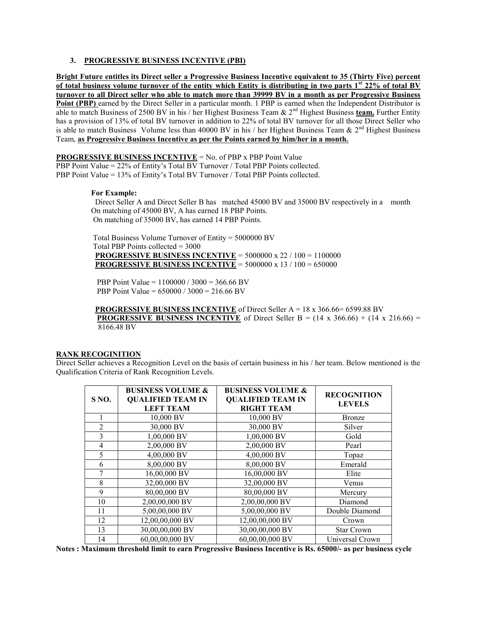# 3. PROGRESSIVE BUSINESS INCENTIVE (PBI)

Bright Future entitles its Direct seller a Progressive Business Incentive equivalent to 35 (Thirty Five) percent of total business volume turnover of the entity which Entity is distributing in two parts  $1<sup>st</sup> 22%$  of total BV turnover to all Direct seller who able to match more than 39999 BV in a month as per Progressive Business Point (PBP) earned by the Direct Seller in a particular month. 1 PBP is earned when the Independent Distributor is able to match Business of 2500 BV in his / her Highest Business Team & 2<sup>nd</sup> Highest Business team. Further Entity has a provision of 13% of total BV turnover in addition to 22% of total BV turnover for all those Direct Seller who is able to match Business Volume less than 40000 BV in his / her Highest Business Team  $\& 2<sup>nd</sup>$  Highest Business Team, as Progressive Business Incentive as per the Points earned by him/her in a month.

#### PROGRESSIVE BUSINESS INCENTIVE = No. of PBP x PBP Point Value

PBP Point Value = 22% of Entity's Total BV Turnover / Total PBP Points collected. PBP Point Value = 13% of Entity's Total BV Turnover / Total PBP Points collected.

#### For Example:

 Direct Seller A and Direct Seller B has matched 45000 BV and 35000 BV respectively in a month On matching of 45000 BV, A has earned 18 PBP Points. On matching of 35000 BV, has earned 14 PBP Points.

 Total Business Volume Turnover of Entity = 5000000 BV Total PBP Points collected = 3000 PROGRESSIVE BUSINESS INCENTIVE = 5000000 x 22 / 100 = 1100000 PROGRESSIVE BUSINESS INCENTIVE = 5000000 x 13 / 100 = 650000

 PBP Point Value = 1100000 / 3000 = 366.66 BV PBP Point Value = 650000 / 3000 = 216.66 BV

 PROGRESSIVE BUSINESS INCENTIVE of Direct Seller A = 18 x 366.66= 6599.88 BV **PROGRESSIVE BUSINESS INCENTIVE** of Direct Seller B =  $(14 \times 366.66) + (14 \times 216.66) =$ 8166.48 BV

#### RANK RECOGINITION

Direct Seller achieves a Recognition Level on the basis of certain business in his / her team. Below mentioned is the Qualification Criteria of Rank Recognition Levels.

| S <sub>NO</sub> . | <b>BUSINESS VOLUME &amp;</b><br><b>QUALIFIED TEAM IN</b><br><b>LEFT TEAM</b> | <b>BUSINESS VOLUME &amp;</b><br><b>QUALIFIED TEAM IN</b><br><b>RIGHT TEAM</b> | <b>RECOGNITION</b><br><b>LEVELS</b> |
|-------------------|------------------------------------------------------------------------------|-------------------------------------------------------------------------------|-------------------------------------|
|                   | 10,000 BV                                                                    | 10,000 BV                                                                     | <b>Bronze</b>                       |
| 2                 | 30,000 BV                                                                    | 30,000 BV                                                                     | Silver                              |
| 3                 | 1,00,000 BV                                                                  | 1,00,000 BV                                                                   | Gold                                |
| 4                 | 2,00,000 BV                                                                  | 2,00,000 BV                                                                   | Pearl                               |
| 5                 | 4,00,000 BV                                                                  | 4,00,000 BV                                                                   | Topaz                               |
| 6                 | 8,00,000 BV                                                                  | 8,00,000 BV                                                                   | Emerald                             |
|                   | 16,00,000 BV                                                                 | 16,00,000 BV                                                                  | Elite                               |
| 8                 | 32,00,000 BV                                                                 | 32,00,000 BV                                                                  | Venus                               |
| 9                 | 80,00,000 BV                                                                 | 80,00,000 BV                                                                  | Mercury                             |
| 10                | 2,00,00,000 BV                                                               | 2,00,00,000 BV                                                                | Diamond                             |
| 11                | 5,00,00,000 BV                                                               | 5,00,00,000 BV                                                                | Double Diamond                      |
| 12                | 12,00,00,000 BV                                                              | 12,00,00,000 BV                                                               | Crown                               |
| 13                | 30,00,00,000 BV                                                              | 30,00,00,000 BV                                                               | <b>Star Crown</b>                   |
| 14                | 60,00,00,000 BV                                                              | 60,00,00,000 BV                                                               | Universal Crown                     |

Notes : Maximum threshold limit to earn Progressive Business Incentive is Rs. 65000/- as per business cycle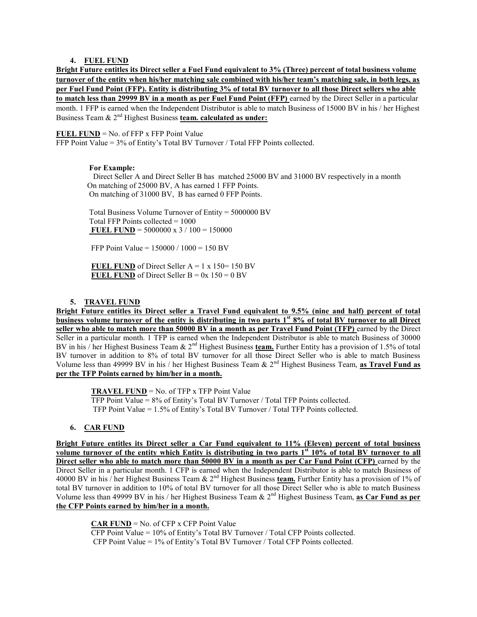#### 4. FUEL FUND

Bright Future entitles its Direct seller a Fuel Fund equivalent to 3% (Three) percent of total business volume turnover of the entity when his/her matching sale combined with his/her team's matching sale, in both legs, as per Fuel Fund Point (FFP). Entity is distributing 3% of total BV turnover to all those Direct sellers who able to match less than 29999 BV in a month as per Fuel Fund Point (FFP) earned by the Direct Seller in a particular month. 1 FFP is earned when the Independent Distributor is able to match Business of 15000 BV in his / her Highest Business Team  $\& 2^{nd}$  Highest Business team. calculated as under:

# FUEL FUND =  $No.$  of FFP x FFP Point Value

FFP Point Value = 3% of Entity's Total BV Turnover / Total FFP Points collected.

# For Example:

 Direct Seller A and Direct Seller B has matched 25000 BV and 31000 BV respectively in a month On matching of 25000 BV, A has earned 1 FFP Points. On matching of 31000 BV, B has earned 0 FFP Points.

 Total Business Volume Turnover of Entity = 5000000 BV Total FFP Points collected = 1000 FUEL FUND =  $5000000 \times 3 / 100 = 150000$ 

FFP Point Value = 150000 / 1000 = 150 BV

FUEL FUND of Direct Seller  $A = 1 x 150 = 150 BV$ FUEL FUND of Direct Seller  $B = 0x$  150 = 0 BV

# 5. TRAVEL FUND

Bright Future entitles its Direct seller a Travel Fund equivalent to 9.5% (nine and half) percent of total business volume turnover of the entity is distributing in two parts 1<sup>st</sup> 8% of total BV turnover to all Direct seller who able to match more than 50000 BV in a month as per Travel Fund Point (TFP) earned by the Direct Seller in a particular month. 1 TFP is earned when the Independent Distributor is able to match Business of 30000 BV in his / her Highest Business Team &  $2^{nd}$  Highest Business team. Further Entity has a provision of 1.5% of total BV turnover in addition to 8% of total BV turnover for all those Direct Seller who is able to match Business Volume less than 49999 BV in his / her Highest Business Team &  $2<sup>nd</sup>$  Highest Business Team, as Travel Fund as per the TFP Points earned by him/her in a month.

 TRAVEL FUND = No. of TFP x TFP Point Value TFP Point Value = 8% of Entity's Total BV Turnover / Total TFP Points collected. TFP Point Value = 1.5% of Entity's Total BV Turnover / Total TFP Points collected.

# 6. CAR FUND

Bright Future entitles its Direct seller a Car Fund equivalent to 11% (Eleven) percent of total business volume turnover of the entity which Entity is distributing in two parts 1<sup>st</sup> 10% of total BV turnover to all volume Direct seller who able to match more than 50000 BV in a month as per Car Fund Point (CFP) earned by the Direct Seller in a particular month. 1 CFP is earned when the Independent Distributor is able to match Business of 40000 BV in his / her Highest Business Team & 2<sup>nd</sup> Highest Business team. Further Entity has a provision of 1% of total BV turnover in addition to 10% of total BV turnover for all those Direct Seller who is able to match Business Volume less than 49999 BV in his / her Highest Business Team &  $2<sup>nd</sup>$  Highest Business Team, as Car Fund as per the CFP Points earned by him/her in a month.

# CAR FUND = No. of CFP x CFP Point Value

 CFP Point Value = 10% of Entity's Total BV Turnover / Total CFP Points collected. CFP Point Value = 1% of Entity's Total BV Turnover / Total CFP Points collected.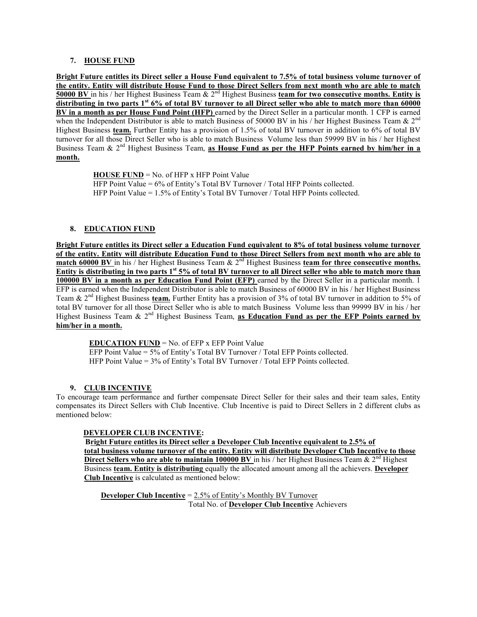### 7. HOUSE FUND

Bright Future entitles its Direct seller a House Fund equivalent to 7.5% of total business volume turnover of the entity. Entity will distribute House Fund to those Direct Sellers from next month who are able to match 50000 BV in his / her Highest Business Team &  $2^{nd}$  Highest Business team for two consecutive months. Entity is distributing in two parts  $1<sup>st</sup> 6%$  of total BV turnover to all Direct seller who able to match more than 60000 BV in a month as per House Fund Point (HFP) earned by the Direct Seller in a particular month. 1 CFP is earned when the Independent Distributor is able to match Business of 50000 BV in his / her Highest Business Team  $\& 2<sup>nd</sup>$ Highest Business team. Further Entity has a provision of 1.5% of total BV turnover in addition to 6% of total BV turnover for all those Direct Seller who is able to match Business Volume less than 59999 BV in his / her Highest Business Team &  $2<sup>nd</sup>$  Highest Business Team, as House Fund as per the HFP Points earned by him/her in a month.

> $HOUSE FUND = No. of HFP x HFP Point Value$ HFP Point Value = 6% of Entity's Total BV Turnover / Total HFP Points collected. HFP Point Value = 1.5% of Entity's Total BV Turnover / Total HFP Points collected.

# 8. EDUCATION FUND

Bright Future entitles its Direct seller a Education Fund equivalent to 8% of total business volume turnover of the entity. Entity will distribute Education Fund to those Direct Sellers from next month who are able to match 60000 BV in his / her Highest Business Team &  $2<sup>nd</sup>$  Highest Business team for three consecutive months. Entity is distributing in two parts 1<sup>st</sup> 5% of total BV turnover to all Direct seller who able to match more than 100000 BV in a month as per Education Fund Point (EFP) earned by the Direct Seller in a particular month. 1 EFP is earned when the Independent Distributor is able to match Business of 60000 BV in his / her Highest Business Team & 2<sup>nd</sup> Highest Business **team.** Further Entity has a provision of 3% of total BV turnover in addition to 5% of total BV turnover for all those Direct Seller who is able to match Business Volume less than 99999 BV in his / her Highest Business Team &  $2<sup>nd</sup>$  Highest Business Team, as Education Fund as per the EFP Points earned by him/her in a month.

**EDUCATION FUND** = No. of EFP x EFP Point Value

 EFP Point Value = 5% of Entity's Total BV Turnover / Total EFP Points collected. HFP Point Value = 3% of Entity's Total BV Turnover / Total EFP Points collected.

# 9. CLUB INCENTIVE

To encourage team performance and further compensate Direct Seller for their sales and their team sales, Entity compensates its Direct Sellers with Club Incentive. Club Incentive is paid to Direct Sellers in 2 different clubs as mentioned below:

# DEVELOPER CLUB INCENTIVE:

 Bright Future entitles its Direct seller a Developer Club Incentive equivalent to 2.5% of total business volume turnover of the entity. Entity will distribute Developer Club Incentive to those Direct Sellers who are able to maintain 100000 BV in his / her Highest Business Team &  $2<sup>nd</sup>$  Highest Business team. Entity is distributing equally the allocated amount among all the achievers. Developer Club Incentive is calculated as mentioned below:

**Developer Club Incentive** =  $2.5\%$  of Entity's Monthly BV Turnover Total No. of Developer Club Incentive Achievers